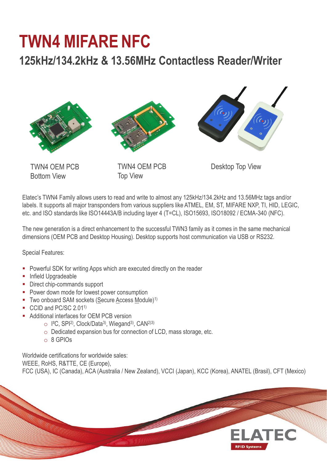## **TWN4 MIFARE NFC**

## **125kHz/134.2kHz & 13.56MHz Contactless Reader/Writer**







TWN4 OEM PCB Bottom View

TWN4 OEM PCB Top View

Desktop Top View

Elatec's TWN4 Family allows users to read and write to almost any 125kHz/134.2kHz and 13.56MHz tags and/or labels. It supports all major transponders from various suppliers like ATMEL, EM, ST, MIFARE NXP, TI, HID, LEGIC, etc. and ISO standards like ISO14443A/B including layer 4 (T=CL), ISO15693, ISO18092 / ECMA-340 (NFC).

The new generation is a direct enhancement to the successful TWN3 family as it comes in the same mechanical dimensions (OEM PCB and Desktop Housing). Desktop supports host communication via USB or RS232.

Special Features:

- **Powerful SDK for writing Apps which are executed directly on the reader**
- **Infield Upgradeable**
- Direct chip-commands support
- **Power down mode for lowest power consumption**
- $\blacksquare$  Two onboard SAM sockets (Secure Access Module)<sup>1)</sup>
- CCID and PC/SC 2.01<sup>1</sup>
- **Additional interfaces for OEM PCB version** 
	- o I²C, SPI2), Clock/Data3), Wiegand3), CAN2)3)
	- o Dedicated expansion bus for connection of LCD, mass storage, etc.
	- o 8 GPIOs

Worldwide certifications for worldwide sales:

WEEE, RoHS, R&TTE, CE (Europe),

FCC (USA), IC (Canada), ACA (Australia / New Zealand), VCCI (Japan), KCC (Korea), ANATEL (Brasil), CFT (Mexico)